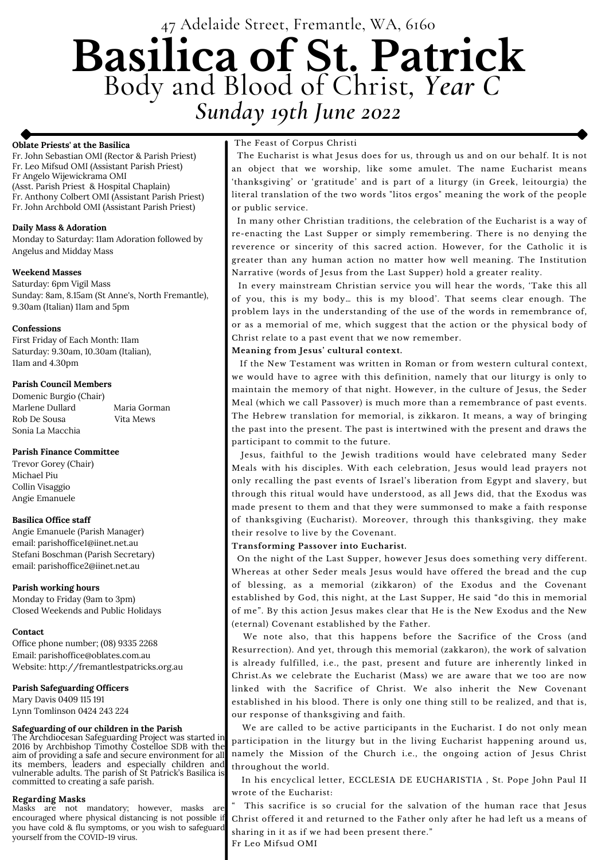# 47 Adelaide Street, Fremantle, WA, 6160 **Basilica of St. Patrick** Body and Blood of Christ*, Year C Sunday 19th June 2022*

## **Oblate Priests' at the Basilica**

Fr. John Sebastian OMI (Rector & Parish Priest) Fr. Leo Mifsud OMI (Assistant Parish Priest) Fr Angelo Wijewickrama OMI (Asst. Parish Priest & Hospital Chaplain) Fr. Anthony Colbert OMI (Assistant Parish Priest) Fr. John Archbold OMI (Assistant Parish Priest)

#### **Daily Mass & Adoration**

Monday to Saturday: 11am Adoration followed by Angelus and Midday Mass

#### **Weekend Masses**

Saturday: 6pm Vigil Mass Sunday: 8am, 8.15am (St Anne's, North Fremantle), 9.30am (Italian) 11am and 5pm

## **Confessions**

First Friday of Each Month: 11am Saturday: 9.30am, 10.30am (Italian), 11am and 4.30pm

## **Parish Council Members**

Domenic Burgio (Chair) Marlene Dullard Maria Gorman Rob De Sousa Vita Mews Sonia La Macchia

## **Parish Finance Committee**

Trevor Gorey (Chair) Michael Piu Collin Visaggio Angie Emanuele

## **Basilica Office staff**

Angie Emanuele (Parish Manager) email: parishoffice1@iinet.net.au Stefani Boschman (Parish Secretary) email: parishoffice2@iinet.net.au

## **Parish working hours**

Monday to Friday (9am to 3pm) Closed Weekends and Public Holidays

## **Contact**

Office phone number; (08) 9335 2268

Email: parishoffice@oblates.com.au Website: http://fremantlestpatricks.org.au

## **Parish Safeguarding Officers**

Mary Davis 0409 115 191 Lynn Tomlinson 0424 243 224

## **Safeguarding of our children in the Parish**

The Archdiocesan Safeguarding Project was started in 2016 by Archbishop Timothy Costelloe SDB with the aim of providing a safe and secure environment for all its members, leaders and especially children and vulnerable adults. The parish of St Patrick's Basilica is committed to creating a safe parish.

#### **Regarding Masks**

Masks are not mandatory; however, masks are encouraged where physical distancing is not possible if you have cold & flu symptoms, or you wish to safeguard yourself from the COVID-19 virus.

## The Feast of Corpus Christi

The Eucharist is what Jesus does for us, through us and on our behalf. It is not an object that we worship, like some amulet. The name Eucharist means 'thanksgiving' or 'gratitude' and is part of a liturgy (in Greek, leitourgia) the literal translation of the two words "litos ergos" meaning the work of the people or public service.

In many other Christian traditions, the celebration of the Eucharist is a way of re-enacting the Last Supper or simply remembering. There is no denying the reverence or sincerity of this sacred action. However, for the Catholic it is greater than any human action no matter how well meaning. The Institution Narrative (words of Jesus from the Last Supper) hold a greater reality.

This sacrifice is so crucial for the salvation of the human race that Jesus Christ offered it and returned to the Father only after he had left us a means of sharing in it as if we had been present there." Fr Leo Mifsud OMI

In every mainstream Christian service you will hear the words, 'Take this all of you, this is my body… this is my blood'. That seems clear enough. The problem lays in the understanding of the use of the words in remembrance of, or as a memorial of me, which suggest that the action or the physical body of Christ relate to a past event that we now remember.

## **Meaning from Jesus' cultural context.**

If the New Testament was written in Roman or from western cultural context, we would have to agree with this definition, namely that our liturgy is only to maintain the memory of that night. However, in the culture of Jesus, the Seder Meal (which we call Passover) is much more than a remembrance of past events. The Hebrew translation for memorial, is zikkaron. It means, a way of bringing the past into the present. The past is intertwined with the present and draws the participant to commit to the future.

Jesus, faithful to the Jewish traditions would have celebrated many Seder Meals with his disciples. With each celebration, Jesus would lead prayers not only recalling the past events of Israel's liberation from Egypt and slavery, but through this ritual would have understood, as all Jews did, that the Exodus was made present to them and that they were summonsed to make a faith response of thanksgiving (Eucharist). Moreover, through this thanksgiving, they make their resolve to live by the Covenant.

## **Transforming Passover into Eucharist.**

On the night of the Last Supper, however Jesus does something very different. Whereas at other Seder meals Jesus would have offered the bread and the cup of blessing, as a memorial (zikkaron) of the Exodus and the Covenant established by God, this night, at the Last Supper, He said "do this in memorial of me". By this action Jesus makes clear that He is the New Exodus and the New (eternal) Covenant established by the Father.

We note also, that this happens before the Sacrifice of the Cross (and Resurrection). And yet, through this memorial (zakkaron), the work of salvation is already fulfilled, i.e., the past, present and future are inherently linked in Christ.As we celebrate the Eucharist (Mass) we are aware that we too are now linked with the Sacrifice of Christ. We also inherit the New Covenant established in his blood. There is only one thing still to be realized, and that is, our response of thanksgiving and faith.

We are called to be active participants in the Eucharist. I do not only mean participation in the liturgy but in the living Eucharist happening around us, namely the Mission of the Church i.e., the ongoing action of Jesus Christ throughout the world.

In his encyclical letter, ECCLESIA DE EUCHARISTIA , St. Pope John Paul II wrote of the Eucharist: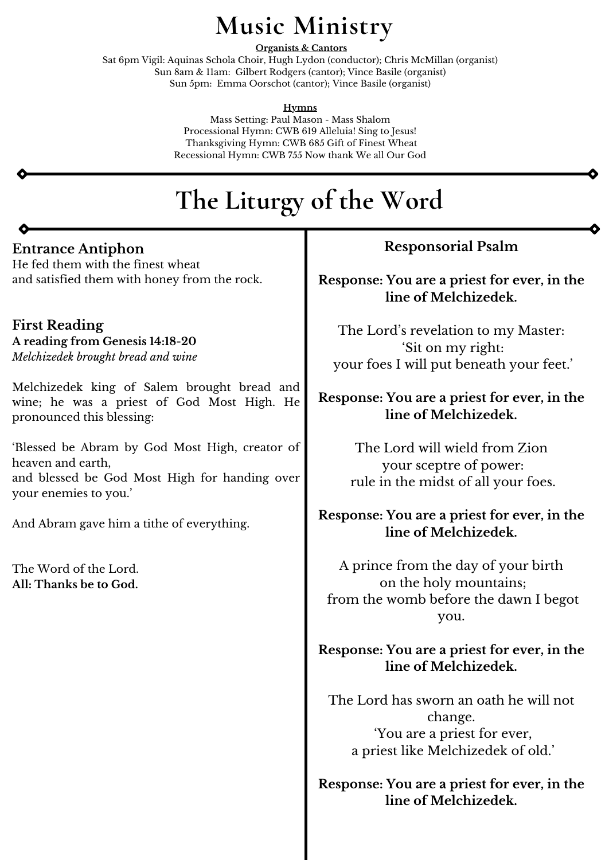# **Entrance Antiphon**

He fed them with the finest wheat and satisfied them with honey from the rock.

**First Reading A reading from Genesis 14:18-20** *Melchizedek brought bread and wine*

Melchizedek king of Salem brought bread and wine; he was a priest of God Most High. He pronounced this blessing:

'Blessed be Abram by God Most High, creator of heaven and earth, and blessed be God Most High for handing over your enemies to you.'

And Abram gave him a tithe of everything.

The Word of the Lord. **All: Thanks be to God.**

# **The Liturgy of the Word**

# **Music Ministry**

**Organists & Cantors**

Sat 6pm Vigil: Aquinas Schola Choir, Hugh Lydon (conductor); Chris McMillan (organist) Sun 8am & 11am: Gilbert Rodgers (cantor); Vince Basile (organist) Sun 5pm: Emma Oorschot (cantor); Vince Basile (organist)

**Hymns**

Mass Setting: Paul Mason - Mass Shalom Processional Hymn: CWB 619 Alleluia! Sing to Jesus! Thanksgiving Hymn: CWB 685 Gift of Finest Wheat Recessional Hymn: CWB 755 Now thank We all Our God

# **Responsorial Psalm**

**Response: You are a priest for ever, in the line of Melchizedek.**

The Lord' s revelation to my Master: 'Sit on my right: your foes I will put beneath your feet.'

# **Response: You are a priest for ever, in the line of Melchizedek.**

The Lord will wield from Zion your sceptre of power: rule in the midst of all your foes.

# **Response: You are a priest for ever, in the line of Melchizedek.**

A prince from the day of your birth on the holy mountains; from the womb before the dawn I begot you.

**Response: You are a priest for ever, in the**

**line of Melchizedek.**

The Lord has sworn an oath he will not change. 'You are a priest for ever, a priest like Melchizedek of old.'

**Response: You are a priest for ever, in the line of Melchizedek.**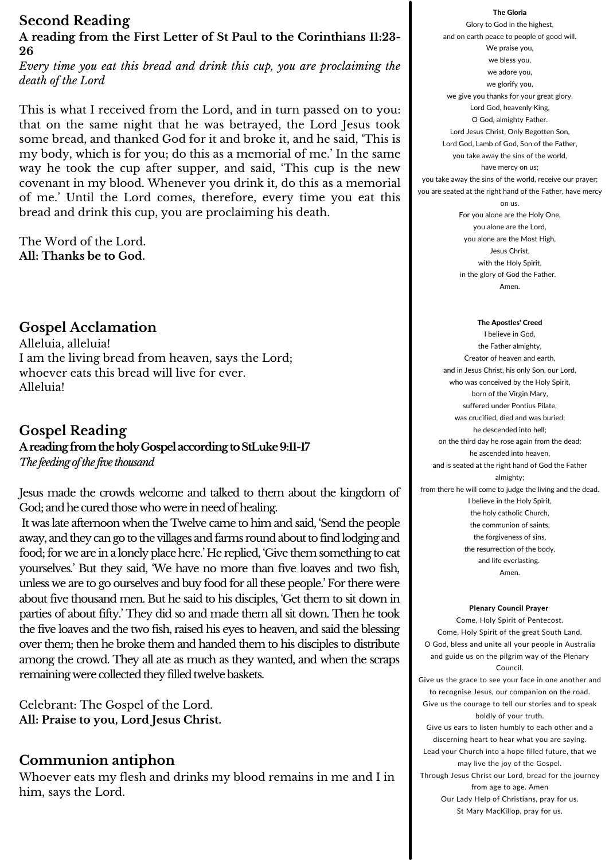## The Gloria

Glory to God in the highest, and on earth peace to people of good will. We praise you, we bless you, we adore you, we glorify you, we give you thanks for your great glory, Lord God, heavenly King, O God, almighty Father. Lord Jesus Christ, Only Begotten Son, Lord God, Lamb of God, Son of the Father, you take away the sins of the world, have mercy on us; you take away the sins of the world, receive our prayer; you are seated at the right hand of the Father, have mercy on us. For you alone are the Holy One, you alone are the Lord, you alone are the Most High, Jesus Christ, with the Holy Spirit, in the glory of God the Father. Amen.

#### The Apostles' Creed

I believe in God, the Father almighty, Creator of heaven and earth, and in Jesus Christ, his only Son, our Lord, who was conceived by the Holy Spirit, born of the Virgin Mary, suffered under Pontius Pilate, was crucified, died and was buried; he descended into hell; on the third day he rose again from the dead; he ascended into heaven, and is seated at the right hand of God the Father almighty; from there he will come to judge the living and the dead. I believe in the Holy Spirit, the holy catholic Church, the communion of saints, the forgiveness of sins, the resurrection of the body, and life everlasting. Amen.

Jesus made the crowds welcome and talked to them about the kingdom of God; and he cured those who were in need of healing.

It was late afternoon when the Twelve came to him and said, 'Send the people away, and they can go to the villages and farms round about to find lodging and food; for we are in a lonely place here.' He replied, 'Give them something to eat yourselves.' But they said, 'We have no more than five loaves and two fish, unless we are to go ourselves and buy food for all these people.' For there were about five thousand men. But he said to his disciples, 'Get them to sit down in parties of about fifty.' They did so and made them all sit down. Then he took the five loaves and the two fish, raised his eyes to heaven, and said the blessing over them; then he broke them and handed them to his disciples to distribute among the crowd. They all ate as much as they wanted, and when the scraps remaining were collected they filled twelve baskets.

Plenary Council Prayer Come, Holy Spirit of Pentecost. Come, Holy Spirit of the great South Land. O God, bless and unite all your people in Australia and guide us on the pilgrim way of the Plenary Council. Give us the grace to see your face in one another and to recognise Jesus, our companion on the road. Give us the courage to tell our stories and to speak boldly of your truth. Give us ears to listen humbly to each other and a discerning heart to hear what you are saying. Lead your Church into a hope filled future, that we may live the joy of the Gospel. Through Jesus Christ our Lord, bread for the journey from age to age. Amen Our Lady Help of Christians, pray for us. St Mary MacKillop, pray for us.

# **Second Reading**

# **A reading from the First Letter of St Paul to the Corinthians 11:23- 26**

*Every time you eat this bread and drink this cup, you are proclaiming the death of the Lord*

This is what I received from the Lord, and in turn passed on to you: that on the same night that he was betrayed, the Lord Jesus took some bread, and thanked God for it and broke it, and he said, 'This is my body, which is for you; do this as a memorial of me.' In the same way he took the cup after supper, and said, 'This cup is the new covenant in my blood. Whenever you drink it, do this as a memorial of me.' Until the Lord comes, therefore, every time you eat this bread and drink this cup, you are proclaiming his death.

The Word of the Lord. **All: Thanks be to God.**

# **Gospel Acclamation**

Alleluia, alleluia! I am the living bread from heaven, says the Lord; whoever eats this bread will live for ever. Alleluia!

# **Gospel Reading AreadingfromtheholyGospelaccordingtoStLuke9:11-17** *The feedingofthe five thousand*

Celebrant: The Gospel of the Lord. **All: Praise to you, Lord Jesus Christ.**

# **Communion antiphon**

Whoever eats my flesh and drinks my blood remains in me and I in him, says the Lord.